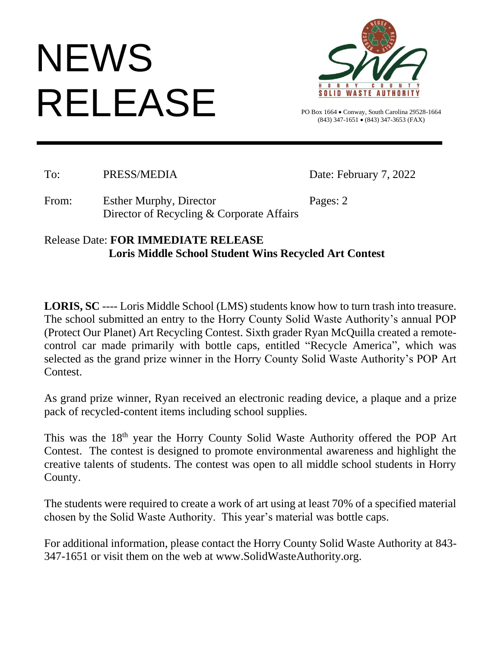## **NEWS** RELEASE



PO Box 1664 • Conway, South Carolina 29528-1664 (843) 347-1651 • (843) 347-3653 (FAX)

To: PRESS/MEDIA Date: February 7, 2022

From: Esther Murphy, Director Pages: 2 Director of Recycling & Corporate Affairs

## Release Date: **FOR IMMEDIATE RELEASE Loris Middle School Student Wins Recycled Art Contest**

**LORIS, SC** ---- Loris Middle School (LMS) students know how to turn trash into treasure. The school submitted an entry to the Horry County Solid Waste Authority's annual POP (Protect Our Planet) Art Recycling Contest. Sixth grader Ryan McQuilla created a remotecontrol car made primarily with bottle caps, entitled "Recycle America", which was selected as the grand prize winner in the Horry County Solid Waste Authority's POP Art Contest.

As grand prize winner, Ryan received an electronic reading device, a plaque and a prize pack of recycled-content items including school supplies.

This was the 18th year the Horry County Solid Waste Authority offered the POP Art Contest. The contest is designed to promote environmental awareness and highlight the creative talents of students. The contest was open to all middle school students in Horry County.

The students were required to create a work of art using at least 70% of a specified material chosen by the Solid Waste Authority. This year's material was bottle caps.

For additional information, please contact the Horry County Solid Waste Authority at 843- 347-1651 or visit them on the web at www.SolidWasteAuthority.org.